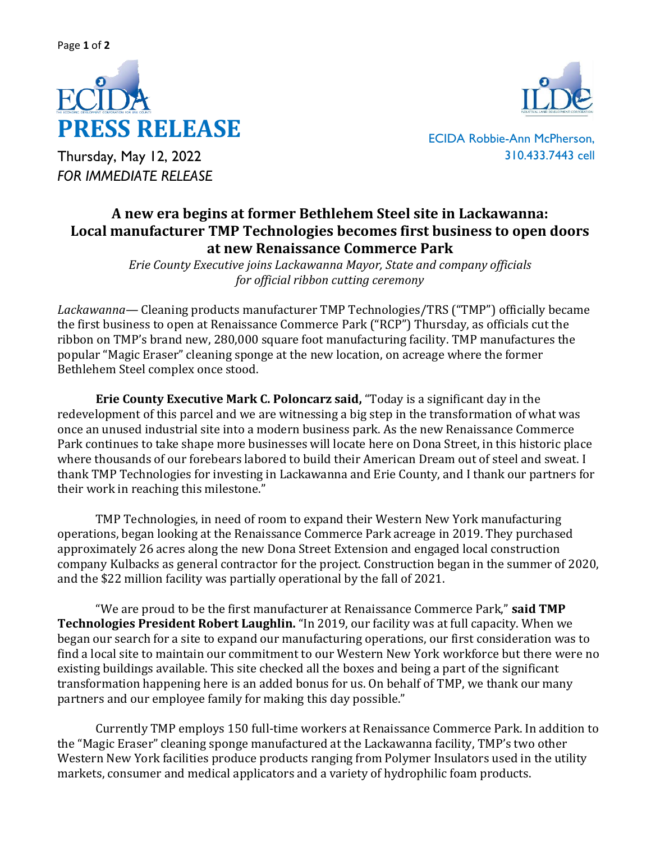

Thursday, May 12, 2022 *FOR IMMEDIATE RELEASE*



ECIDA Robbie-Ann McPherson, 310.433.7443 cell

## **A new era begins at former Bethlehem Steel site in Lackawanna: Local manufacturer TMP Technologies becomes first business to open doors at new Renaissance Commerce Park**

*Erie County Executive joins Lackawanna Mayor, State and company officials for official ribbon cutting ceremony* 

*Lackawanna*— Cleaning products manufacturer TMP Technologies/TRS ("TMP") officially became the first business to open at Renaissance Commerce Park ("RCP") Thursday, as officials cut the ribbon on TMP's brand new, 280,000 square foot manufacturing facility. TMP manufactures the popular "Magic Eraser" cleaning sponge at the new location, on acreage where the former Bethlehem Steel complex once stood.

**Erie County Executive Mark C. Poloncarz said,** "Today is a significant day in the redevelopment of this parcel and we are witnessing a big step in the transformation of what was once an unused industrial site into a modern business park. As the new Renaissance Commerce Park continues to take shape more businesses will locate here on Dona Street, in this historic place where thousands of our forebears labored to build their American Dream out of steel and sweat. I thank TMP Technologies for investing in Lackawanna and Erie County, and I thank our partners for their work in reaching this milestone."

TMP Technologies, in need of room to expand their Western New York manufacturing operations, began looking at the Renaissance Commerce Park acreage in 2019. They purchased approximately 26 acres along the new Dona Street Extension and engaged local construction company Kulbacks as general contractor for the project. Construction began in the summer of 2020, and the \$22 million facility was partially operational by the fall of 2021.

"We are proud to be the first manufacturer at Renaissance Commerce Park," **said TMP Technologies President Robert Laughlin.** "In 2019, our facility was at full capacity. When we began our search for a site to expand our manufacturing operations, our first consideration was to find a local site to maintain our commitment to our Western New York workforce but there were no existing buildings available. This site checked all the boxes and being a part of the significant transformation happening here is an added bonus for us. On behalf of TMP, we thank our many partners and our employee family for making this day possible."

Currently TMP employs 150 full-time workers at Renaissance Commerce Park. In addition to the "Magic Eraser" cleaning sponge manufactured at the Lackawanna facility, TMP's two other Western New York facilities produce products ranging from Polymer Insulators used in the utility markets, consumer and medical applicators and a variety of hydrophilic foam products.